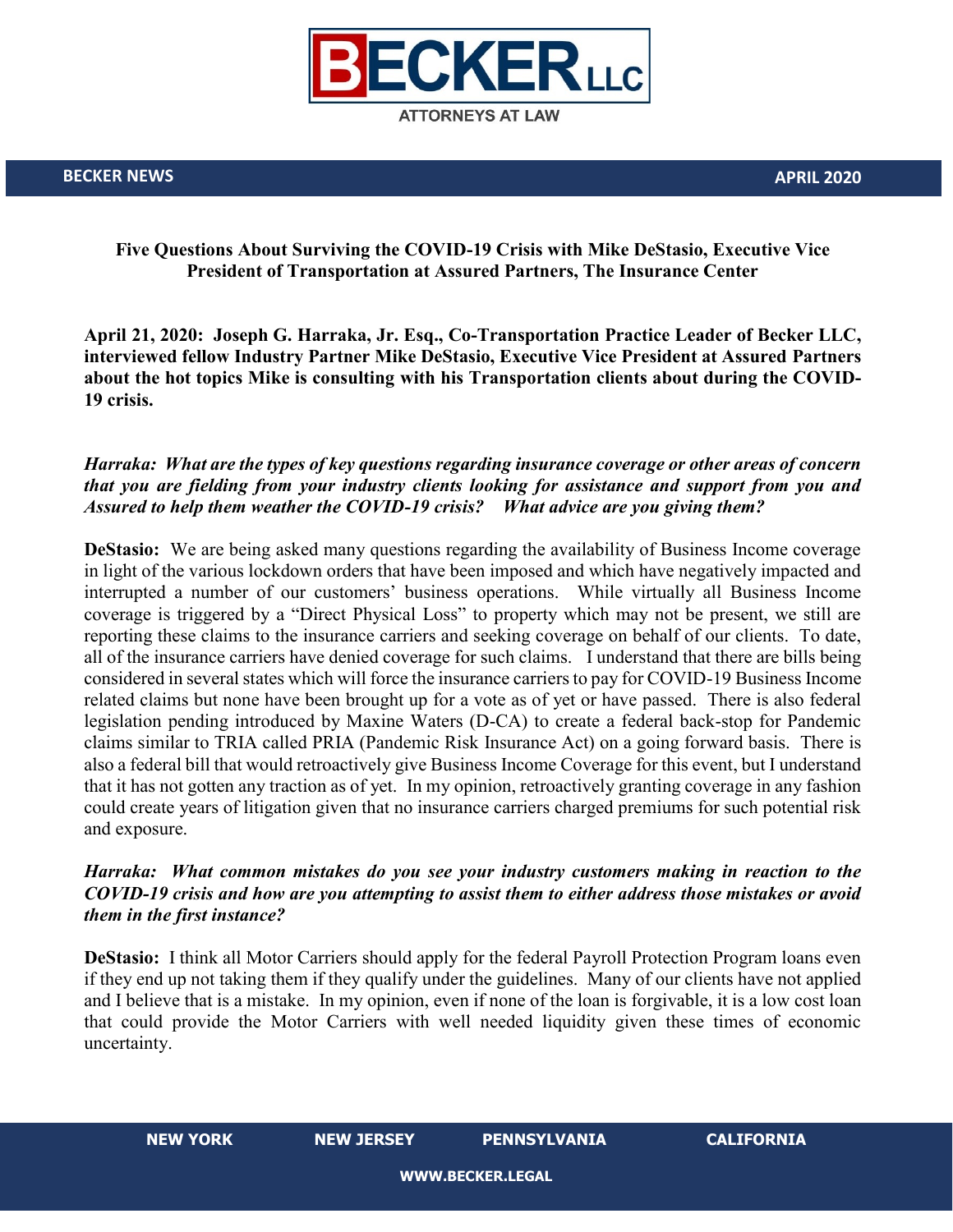

### **Five Questions About Surviving the COVID-19 Crisis with Mike DeStasio, Executive Vice President of Transportation at Assured Partners, The Insurance Center**

**April 21, 2020: Joseph G. Harraka, Jr. Esq., Co-Transportation Practice Leader of Becker LLC, interviewed fellow Industry Partner Mike DeStasio, Executive Vice President at Assured Partners about the hot topics Mike is consulting with his Transportation clients about during the COVID-19 crisis.** 

## *Harraka: What are the types of key questions regarding insurance coverage or other areas of concern that you are fielding from your industry clients looking for assistance and support from you and Assured to help them weather the COVID-19 crisis? What advice are you giving them?*

**DeStasio:** We are being asked many questions regarding the availability of Business Income coverage in light of the various lockdown orders that have been imposed and which have negatively impacted and interrupted a number of our customers' business operations. While virtually all Business Income coverage is triggered by a "Direct Physical Loss" to property which may not be present, we still are reporting these claims to the insurance carriers and seeking coverage on behalf of our clients. To date, all of the insurance carriers have denied coverage for such claims. I understand that there are bills being considered in several states which will force the insurance carriers to pay for COVID-19 Business Income related claims but none have been brought up for a vote as of yet or have passed. There is also federal legislation pending introduced by Maxine Waters (D-CA) to create a federal back-stop for Pandemic claims similar to TRIA called PRIA (Pandemic Risk Insurance Act) on a going forward basis. There is also a federal bill that would retroactively give Business Income Coverage for this event, but I understand that it has not gotten any traction as of yet. In my opinion, retroactively granting coverage in any fashion could create years of litigation given that no insurance carriers charged premiums for such potential risk and exposure.

### *Harraka: What common mistakes do you see your industry customers making in reaction to the COVID-19 crisis and how are you attempting to assist them to either address those mistakes or avoid them in the first instance?*

**DeStasio:** I think all Motor Carriers should apply for the federal Payroll Protection Program loans even if they end up not taking them if they qualify under the guidelines. Many of our clients have not applied and I believe that is a mistake. In my opinion, even if none of the loan is forgivable, it is a low cost loan that could provide the Motor Carriers with well needed liquidity given these times of economic uncertainty.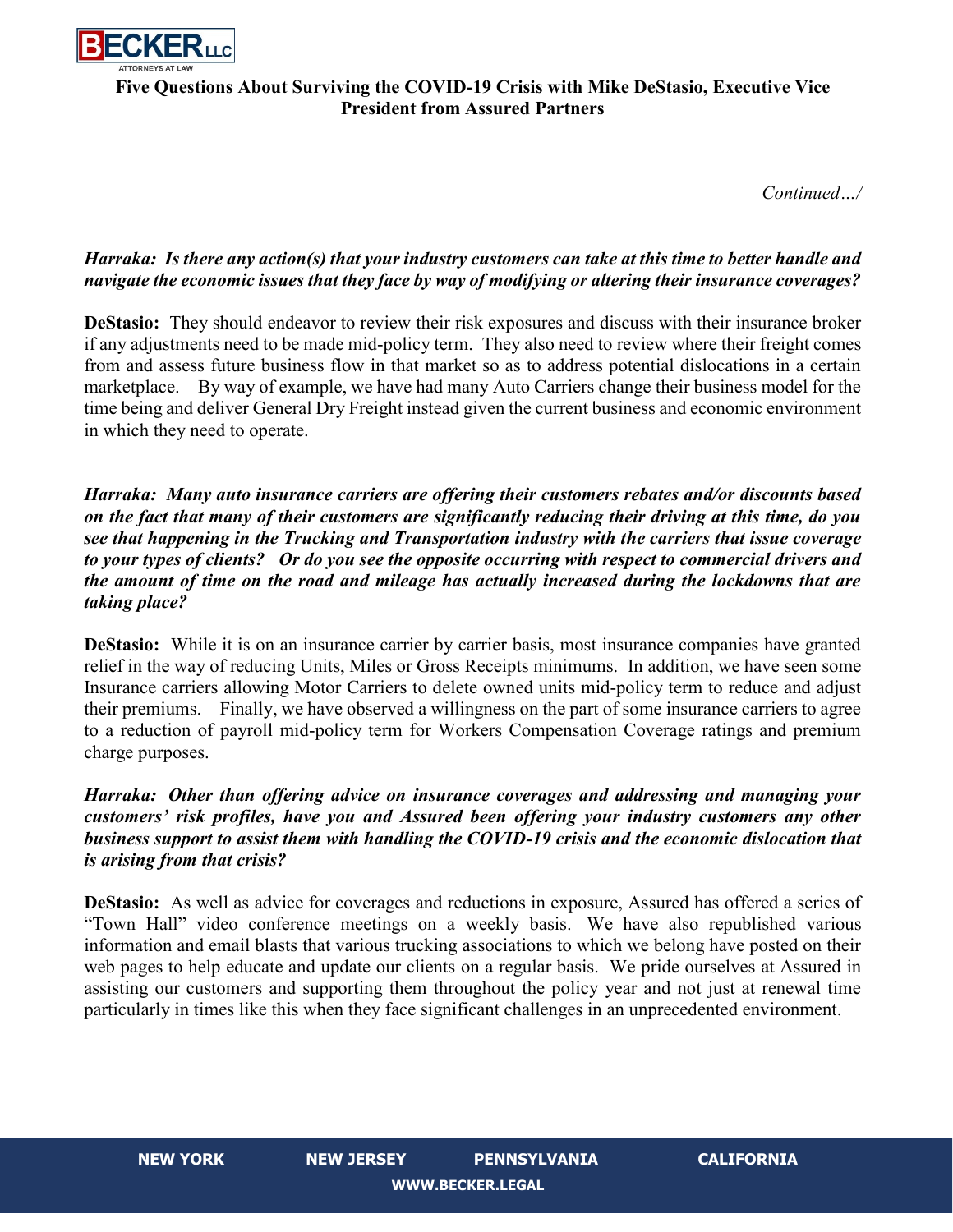

# **Five Questions About Surviving the COVID-19 Crisis with Mike DeStasio, Executive Vice President from Assured Partners**

*Continued…/*

# *Harraka: Is there any action(s) that your industry customers can take at this time to better handle and navigate the economic issues that they face by way of modifying or altering their insurance coverages?*

**DeStasio:** They should endeavor to review their risk exposures and discuss with their insurance broker if any adjustments need to be made mid-policy term. They also need to review where their freight comes from and assess future business flow in that market so as to address potential dislocations in a certain marketplace. By way of example, we have had many Auto Carriers change their business model for the time being and deliver General Dry Freight instead given the current business and economic environment in which they need to operate.

*Harraka: Many auto insurance carriers are offering their customers rebates and/or discounts based on the fact that many of their customers are significantly reducing their driving at this time, do you see that happening in the Trucking and Transportation industry with the carriers that issue coverage to your types of clients? Or do you see the opposite occurring with respect to commercial drivers and the amount of time on the road and mileage has actually increased during the lockdowns that are taking place?* 

**DeStasio:** While it is on an insurance carrier by carrier basis, most insurance companies have granted relief in the way of reducing Units, Miles or Gross Receipts minimums. In addition, we have seen some Insurance carriers allowing Motor Carriers to delete owned units mid-policy term to reduce and adjust their premiums. Finally, we have observed a willingness on the part of some insurance carriers to agree to a reduction of payroll mid-policy term for Workers Compensation Coverage ratings and premium charge purposes.

# *Harraka: Other than offering advice on insurance coverages and addressing and managing your customers' risk profiles, have you and Assured been offering your industry customers any other business support to assist them with handling the COVID-19 crisis and the economic dislocation that is arising from that crisis?*

**DeStasio:** As well as advice for coverages and reductions in exposure, Assured has offered a series of "Town Hall" video conference meetings on a weekly basis. We have also republished various information and email blasts that various trucking associations to which we belong have posted on their web pages to help educate and update our clients on a regular basis. We pride ourselves at Assured in assisting our customers and supporting them throughout the policy year and not just at renewal time particularly in times like this when they face significant challenges in an unprecedented environment.